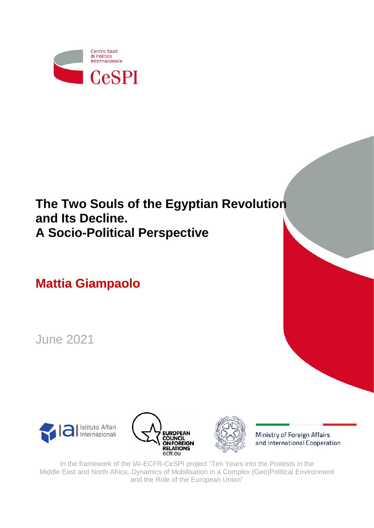

# **The Two Souls of the Egyptian Revolution and Its Decline. A Socio-Political Perspective**

**Mattia Giampaolo**

June 2021

<span id="page-0-0"></span>





Ministry of Foreign Affairs and International Cooperation

In the framework of the IAI-ECFR-CeSPI project "Ten Years into the Protests in the Middle East and North Africa. Dynamics of Mobilisation in a Complex (Geo)Political Environment and the Role of the European Union"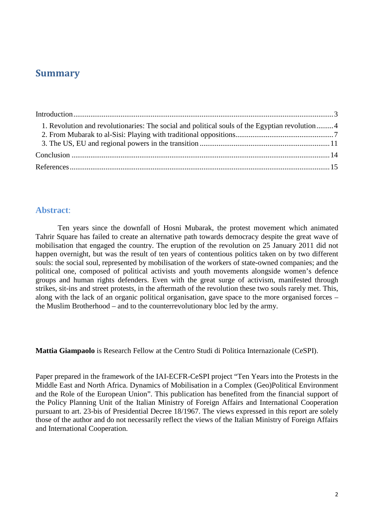## **Summary**

| 1. Revolution and revolutionaries: The social and political souls of the Egyptian revolution4 |  |  |
|-----------------------------------------------------------------------------------------------|--|--|
|                                                                                               |  |  |
|                                                                                               |  |  |
|                                                                                               |  |  |
|                                                                                               |  |  |

#### **Abstract**:

Ten years since the downfall of Hosni Mubarak, the protest movement which animated Tahrir Square has failed to create an alternative path towards democracy despite the great wave of mobilisation that engaged the country. The eruption of the revolution on 25 January 2011 did not happen overnight, but was the result of ten years of contentious politics taken on by two different souls: the social soul, represented by mobilisation of the workers of state-owned companies; and the political one, composed of political activists and youth movements alongside women's defence groups and human rights defenders. Even with the great surge of activism, manifested through strikes, sit-ins and street protests, in the aftermath of the revolution these two souls rarely met. This, along with the lack of an organic political organisation, gave space to the more organised forces – the Muslim Brotherhood – and to the counterrevolutionary bloc led by the army.

**Mattia Giampaolo** is Research Fellow at the Centro Studi di Politica Internazionale (CeSPI).

Paper prepared in the framework of the IAI-ECFR-CeSPI project "Ten Years into the Protests in the Middle East and North Africa. Dynamics of Mobilisation in a Complex (Geo)Political Environment and the Role of the European Union". This publication has benefited from the financial support of the Policy Planning Unit of the Italian Ministry of Foreign Affairs and International Cooperation pursuant to art. 23-bis of Presidential Decree 18/1967. The views expressed in this report are solely those of the author and do not necessarily reflect the views of the Italian Ministry of Foreign Affairs and International Cooperation.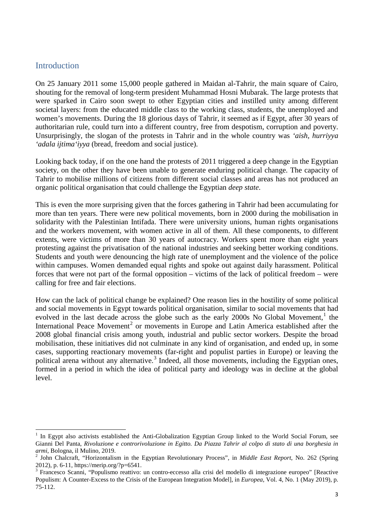#### <span id="page-2-0"></span>**Introduction**

1

On 25 January 2011 some 15,000 people gathered in Maidan al-Tahrir, the main square of Cairo, shouting for the removal of long-term president Muhammad Hosni Mubarak. The large protests that were sparked in Cairo soon swept to other Egyptian cities and instilled unity among different societal layers: from the educated middle class to the working class, students, the unemployed and women's movements. During the 18 glorious days of Tahrir, it seemed as if Egypt, after 30 years of authoritarian rule, could turn into a different country, free from despotism, corruption and poverty. Unsurprisingly, the slogan of the protests in Tahrir and in the whole country was *'aish, hurriyya 'adala ijtima'iyya* (bread, freedom and social justice).

Looking back today, if on the one hand the protests of 2011 triggered a deep change in the Egyptian society, on the other they have been unable to generate enduring political change. The capacity of Tahrir to mobilise millions of citizens from different social classes and areas has not produced an organic political organisation that could challenge the Egyptian *deep state*.

This is even the more surprising given that the forces gathering in Tahrir had been accumulating for more than ten years. There were new political movements, born in 2000 during the mobilisation in solidarity with the Palestinian Intifada. There were university unions, human rights organisations and the workers movement, with women active in all of them. All these components, to different extents, were victims of more than 30 years of autocracy. Workers spent more than eight years protesting against the privatisation of the national industries and seeking better working conditions. Students and youth were denouncing the high rate of unemployment and the violence of the police within campuses. Women demanded equal rights and spoke out against daily harassment. Political forces that were not part of the formal opposition – victims of the lack of political freedom – were calling for free and fair elections.

How can the lack of political change be explained? One reason lies in the hostility of some political and social movements in Egypt towards political organisation, similar to social movements that had evolved in the last decade across the globe such as the early 2000s No Global Movement,<sup>[1](#page-0-0)</sup> the International Peace Movement<sup>[2](#page-2-1)</sup> or movements in Europe and Latin America established after the 2008 global financial crisis among youth, industrial and public sector workers. Despite the broad mobilisation, these initiatives did not culminate in any kind of organisation, and ended up, in some cases, supporting reactionary movements (far-right and populist parties in Europe) or leaving the political arena without any alternative.<sup>[3](#page-2-2)</sup> Indeed, all those movements, including the Egyptian ones, formed in a period in which the idea of political party and ideology was in decline at the global level.

<span id="page-2-3"></span>In Egypt also activists established the Anti-Globalization Egyptian Group linked to the World Social Forum, see Gianni Del Panta, *Rivoluzione e controrivoluzione in Egitto. Da Piazza Tahrir al colpo di stato di una borghesia in armi*, Bologna, il Mulino, 2019.<br><sup>2</sup> John Chalcraft, "Horizontalism in the Egyptian Revolutionary Process", in *Middle East Report*, No. 262 (Spring

<span id="page-2-1"></span><sup>2012),</sup> p. 6-11, https://merip.org/?p=6541.<br><sup>3</sup> Francesco Scanni, "Populismo reattivo: un contro-eccesso alla crisi del modello di integrazione europeo" [Reactive

<span id="page-2-2"></span>Populism: A Counter-Excess to the Crisis of the European Integration Model], in *Europea*, Vol. 4, No. 1 (May 2019), p. 75-112.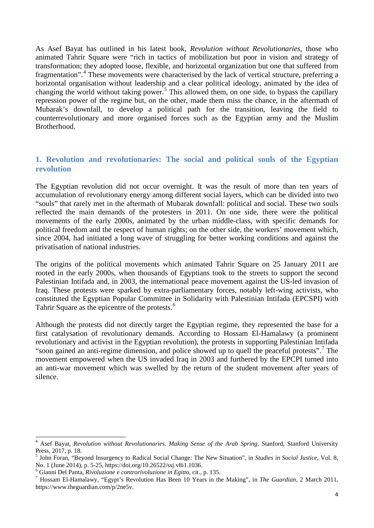As Asef Bayat has outlined in his latest book, *Revolution without Revolutionaries*, those who animated Tahrir Square were "rich in tactics of mobilization but poor in vision and strategy of transformation; they adopted loose, flexible, and horizontal organization but one that suffered from fragmentation".[4](#page-2-3) These movements were characterised by the lack of vertical structure, preferring a horizontal organisation without leadership and a clear political ideology, animated by the idea of changing the world without taking power.<sup>[5](#page-3-1)</sup> This allowed them, on one side, to bypass the capillary repression power of the regime but, on the other, made them miss the chance, in the aftermath of Mubarak's downfall, to develop a political path for the transition, leaving the field to counterrevolutionary and more organised forces such as the Egyptian army and the Muslim Brotherhood.

#### <span id="page-3-0"></span>**1. Revolution and revolutionaries: The social and political souls of the Egyptian revolution**

The Egyptian revolution did not occur overnight. It was the result of more than ten years of accumulation of revolutionary energy among different social layers, which can be divided into two "souls" that rarely met in the aftermath of Mubarak downfall: political and social. These two souls reflected the main demands of the protesters in 2011. On one side, there were the political movements of the early 2000s, animated by the urban middle-class, with specific demands for political freedom and the respect of human rights; on the other side, the workers' movement which, since 2004, had initiated a long wave of struggling for better working conditions and against the privatisation of national industries.

The origins of the political movements which animated Tahrir Square on 25 January 2011 are rooted in the early 2000s, when thousands of Egyptians took to the streets to support the second Palestinian Intifada and, in 2003, the international peace movement against the US-led invasion of Iraq. These protests were sparked by extra-parliamentary forces, notably left-wing activists, who constituted the Egyptian Popular Committee in Solidarity with Palestinian Intifada (EPCSPI) with Tahrir Square as the epicentre of the protests.<sup>[6](#page-3-2)</sup>

Although the protests did not directly target the Egyptian regime, they represented the base for a first catalysation of revolutionary demands. According to Hossam El-Hamalawy (a prominent revolutionary and activist in the Egyptian revolution), the protests in supporting Palestinian Intifada "soon gained an anti-regime dimension, and police showed up to quell the peaceful protests". The movement empowered when the US invaded Iraq in 2003 and furthered by the EPCPI turned into an anti-war movement which was swelled by the return of the student movement after years of silence.

<span id="page-3-4"></span><sup>4</sup> Asef Bayat, *Revolution without Revolutionaries. Making Sense of the Arab Spring*, Stanford, Stanford University

<span id="page-3-1"></span>Press, 2017, p. 18.<br><sup>5</sup> John Foran, "Beyond Insurgency to Radical Social Change: The New Situation", in *Studies in Social Justice*, Vol. 8,<br>No. 1 (June 2014), p. 5-25, https://doi.org/10.26522/ssj.v8i1.1036.

<span id="page-3-3"></span><span id="page-3-2"></span><sup>&</sup>lt;sup>6</sup> Gianni Del Panta, *Rivoluzione e controrivoluzione in Egitto*, cit., p. 135.<br><sup>7</sup> Hossam El-Hamalawy, "Egypt's Revolution Has Been 10 Years in the Making", in *The Guardian*, 2 March 2011, https://www.theguardian.com/p/2ne5v.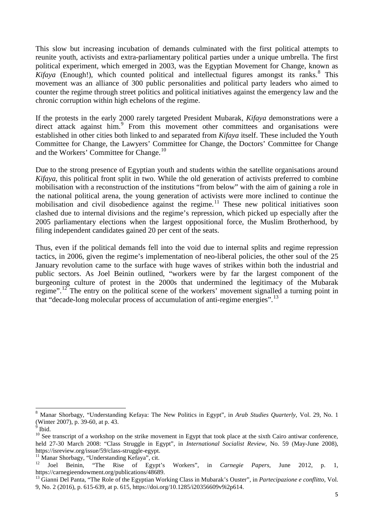This slow but increasing incubation of demands culminated with the first political attempts to reunite youth, activists and extra-parliamentary political parties under a unique umbrella. The first political experiment, which emerged in 2003, was the Egyptian Movement for Change, known as *Kifaya* (Enough!), which counted political and intellectual figures amongst its ranks.<sup>[8](#page-3-4)</sup> This movement was an alliance of 300 public personalities and political party leaders who aimed to counter the regime through street politics and political initiatives against the emergency law and the chronic corruption within high echelons of the regime.

If the protests in the early 2000 rarely targeted President Mubarak, *Kifaya* demonstrations were a direct attack against him.<sup>[9](#page-4-0)</sup> From this movement other committees and organisations were established in other cities both linked to and separated from *Kifaya* itself. These included the Youth Committee for Change, the Lawyers' Committee for Change, the Doctors' Committee for Change and the Workers' Committee for Change.<sup>[10](#page-4-1)</sup>

Due to the strong presence of Egyptian youth and students within the satellite organisations around *Kifaya*, this political front split in two. While the old generation of activists preferred to combine mobilisation with a reconstruction of the institutions "from below" with the aim of gaining a role in the national political arena, the young generation of activists were more inclined to continue the mobilisation and civil disobedience against the regime.<sup>[11](#page-4-2)</sup> These new political initiatives soon clashed due to internal divisions and the regime's repression, which picked up especially after the 2005 parliamentary elections when the largest oppositional force, the Muslim Brotherhood, by filing independent candidates gained 20 per cent of the seats.

Thus, even if the political demands fell into the void due to internal splits and regime repression tactics, in 2006, given the regime's implementation of neo-liberal policies, the other soul of the 25 January revolution came to the surface with huge waves of strikes within both the industrial and public sectors. As Joel Beinin outlined, "workers were by far the largest component of the burgeoning culture of protest in the 2000s that undermined the legitimacy of the Mubarak regime".<sup>[12](#page-4-3)</sup> The entry on the political scene of the workers' movement signalled a turning point in that "decade-long molecular process of accumulation of anti-regime energies".[13](#page-4-4)

<span id="page-4-5"></span>**.** 

<sup>&</sup>lt;sup>8</sup> Manar Shorbagy, "Understanding Kefaya: The New Politics in Egypt", in *Arab Studies Quarterly*, Vol. 29, No. 1 (Winter 2007), p. 39-60, at p. 43.

<span id="page-4-1"></span><span id="page-4-0"></span><sup>&</sup>lt;sup>9</sup> Ibid. <sup>10</sup> See transcript of a workshop on the strike movement in Egypt that took place at the sixth Cairo antiwar conference, held 27-30 March 2008: "Class Struggle in Egypt", in *International Socialist Review*, No. 59 (May-June 2008), https://isreview.org/issue/59/class-struggle-egypt.<br><sup>11</sup> Manar Shorbagy, "Understanding Kefaya", cit.<br><sup>12</sup> Joel Beinin, "The Rise of Egypt's Workers", in *Carnegie Papers*, June 2012, p. 1,

<span id="page-4-2"></span>

<span id="page-4-4"></span><span id="page-4-3"></span>https://carnegieendowment.org/publications/48689.<br><sup>13</sup> Gianni Del Panta, "The Role of the Egyptian Working Class in Mubarak's Ouster", in *Partecipazione e conflitto*, Vol. 9, No. 2 (2016), p. 615-639, at p. 615, https://doi.org/10.1285/i20356609v9i2p614.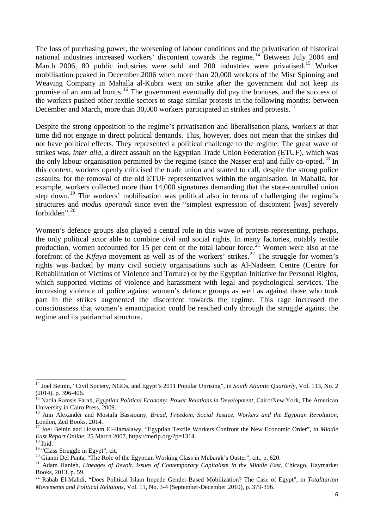The loss of purchasing power, the worsening of labour conditions and the privatisation of historical national industries increased workers' discontent towards the regime.<sup>[14](#page-4-5)</sup> Between July 2004 and March 2006, 80 public industries were sold and 200 industries were privatised.<sup>15</sup> Worker mobilisation peaked in December 2006 when more than 20,000 workers of the Misr Spinning and Weaving Company in Mahalla al-Kubra went on strike after the government did not keep its promise of an annual bonus.<sup>[16](#page-5-1)</sup> The government eventually did pay the bonuses, and the success of the workers pushed other textile sectors to stage similar protests in the following months: between December and March, more than 30,000 workers participated in strikes and protests.<sup>[17](#page-5-2)</sup>

Despite the strong opposition to the regime's privatisation and liberalisation plans, workers at that time did not engage in direct political demands. This, however, does not mean that the strikes did not have political effects. They represented a political challenge to the regime. The great wave of strikes was, *inter alia*, a direct assault on the Egyptian Trade Union Federation (ETUF), which was the only labour organisation permitted by the regime (since the Nasser era) and fully co-opted.<sup>[18](#page-5-3)</sup> In this context, workers openly criticised the trade union and started to call, despite the strong police assaults, for the removal of the old ETUF representatives within the organisation. In Mahalla, for example, workers collected more than 14,000 signatures demanding that the state-controlled union step down.<sup>[19](#page-5-4)</sup> The workers' mobilisation was political also in terms of challenging the regime's structures and *modus operandi* since even the "simplest expression of discontent [was] severely forbidden".<sup>[20](#page-5-5)</sup>

Women's defence groups also played a central role in this wave of protests representing, perhaps, the only political actor able to combine civil and social rights. In many factories, notably textile production, women accounted for 15 per cent of the total labour force.<sup>[21](#page-5-6)</sup> Women were also at the forefront of the *Kifaya* movement as well as of the workers' strikes.<sup>[22](#page-5-7)</sup> The struggle for women's rights was backed by many civil society organisations such as Al-Nadeem Centre (Centre for Rehabilitation of Victims of Violence and Torture) or by the Egyptian Initiative for Personal Rights, which supported victims of violence and harassment with legal and psychological services. The increasing violence of police against women's defence groups as well as against those who took part in the strikes augmented the discontent towards the regime. This rage increased the consciousness that women's emancipation could be reached only through the struggle against the regime and its patriarchal structure.

**.** 

<sup>&</sup>lt;sup>14</sup> Joel Beinin, "Civil Society, NGOs, and Egypt's 2011 Popular Uprising", in *South Atlantic Quarterly*, Vol. 113, No. 2

<span id="page-5-0"></span><sup>(2014),</sup> p. 396-406. <sup>15</sup> Nadia Ramsis Farah, *Egyptian Political Economy. Power Relations in Development*, Cairo/New York, The American

<span id="page-5-1"></span><sup>&</sup>lt;sup>16</sup> Ann Alexander and Mostafa Bassiouny, *Bread, Freedom, Social Justice. Workers and the Egyptian Revolution*, London, Zed Books, 2014.

<span id="page-5-2"></span><sup>17</sup> Joel Beinin and Hossam El-Hamalawy, "Egyptian Textile Workers Confront the New Economic Order", in *Middle*  East Report Online, 25 March 2007, https://merip.org/?p=1314.<br><sup>18</sup> Ibid.<br><sup>19</sup> "Class Struggle in Egypt", cit.<br><sup>20</sup> Gianni Del Panta, "The Role of the Egyptian Working Class in Mubarak's Ouster", cit., p. 620.<br><sup>21</sup> Adam Han

<span id="page-5-3"></span>

<span id="page-5-4"></span>

<span id="page-5-5"></span>

<span id="page-5-6"></span>Books, 2013, p. 59. <sup>22</sup> Rabab El-Mahdi, "Does Political Islam Impede Gender-Based Mobilization? The Case of Egypt", in *Totalitarian* 

<span id="page-5-7"></span>*Movements and Political Religions*, Vol. 11, No. 3-4 (September-December 2010), p. 379-396.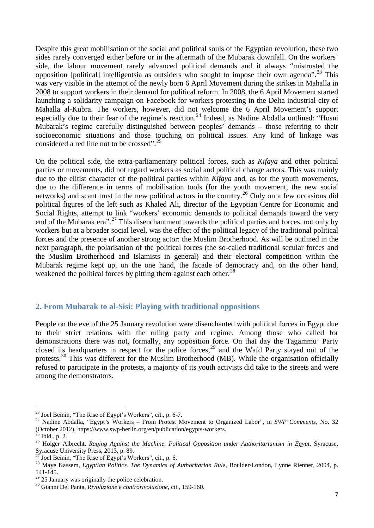Despite this great mobilisation of the social and political souls of the Egyptian revolution, these two sides rarely converged either before or in the aftermath of the Mubarak downfall. On the workers' side, the labour movement rarely advanced political demands and it always "mistrusted the opposition [political] intelligentsia as outsiders who sought to impose their own agenda".<sup>[23](#page-5-1)</sup> This was very visible in the attempt of the newly born 6 April Movement during the strikes in Mahalla in 2008 to support workers in their demand for political reform. In 2008, the 6 April Movement started launching a solidarity campaign on Facebook for workers protesting in the Delta industrial city of Mahalla al-Kubra. The workers, however, did not welcome the 6 April Movement's support especially due to their fear of the regime's reaction.<sup>[24](#page-6-1)</sup> Indeed, as Nadine Abdalla outlined: "Hosni Mubarak's regime carefully distinguished between peoples' demands – those referring to their socioeconomic situations and those touching on political issues. Any kind of linkage was considered a red line not to be crossed".<sup>[25](#page-6-2)</sup>

On the political side, the extra-parliamentary political forces, such as *Kifaya* and other political parties or movements, did not regard workers as social and political change actors. This was mainly due to the elitist character of the political parties within *Kifaya* and, as for the youth movements, due to the difference in terms of mobilisation tools (for the youth movement, the new social networks) and scant trust in the new political actors in the country.<sup>[26](#page-6-3)</sup> Only on a few occasions did political figures of the left such as Khaled Ali, director of the Egyptian Centre for Economic and Social Rights, attempt to link "workers' economic demands to political demands toward the very end of the Mubarak era".[27](#page-6-4) This disenchantment towards the political parties and forces, not only by workers but at a broader social level, was the effect of the political legacy of the traditional political forces and the presence of another strong actor: the Muslim Brotherhood. As will be outlined in the next paragraph, the polarisation of the political forces (the so-called traditional secular forces and the Muslim Brotherhood and Islamists in general) and their electoral competition within the Mubarak regime kept up, on the one hand, the facade of democracy and, on the other hand, weakened the political forces by pitting them against each other.<sup>[28](#page-6-5)</sup>

#### <span id="page-6-0"></span>**2. From Mubarak to al-Sisi: Playing with traditional oppositions**

People on the eve of the 25 January revolution were disenchanted with political forces in Egypt due to their strict relations with the ruling party and regime. Among those who called for demonstrations there was not, formally, any opposition force. On that day the Tagammu' Party closed its headquarters in respect for the police forces,<sup>[29](#page-6-6)</sup> and the Wafd Party stayed out of the protests.<sup>[30](#page-6-7)</sup> This was different for the Muslim Brotherhood (MB). While the organisation officially refused to participate in the protests, a majority of its youth activists did take to the streets and were among the demonstrators.

<span id="page-6-8"></span><sup>&</sup>lt;sup>23</sup> Joel Beinin, "The Rise of Egypt's Workers", cit., p. 6-7.

<span id="page-6-1"></span><sup>&</sup>lt;sup>24</sup> Nadine Abdalla, "Egypt's Workers – From Protest Movement to Organized Labor", in *SWP Comments*, No. 32 (October 2012), https://www.swp-berlin.org/en/publication/egypts-workers. <sup>25</sup> Ibid., p. 2. <sup>26</sup> Holger Albrecht, *Raging Against the Machine. Political Opposition under Authoritarianism in Egypt*, Syracuse,

<span id="page-6-2"></span>

<span id="page-6-3"></span>Syracuse University Press, 2013, p. 89.<br><sup>27</sup> Joel Beinin, "The Rise of Egypt's Workers", cit., p. 6.

<span id="page-6-4"></span>

<span id="page-6-5"></span><sup>&</sup>lt;sup>28</sup> Maye Kassem, *Egyptian Politics. The Dynamics of Authoritarian Rule*, Boulder/London, Lynne Rienner, 2004, p. 141-145.<br> $^{29}$  25 January was originally the police celebration.

<span id="page-6-6"></span>

<span id="page-6-7"></span><sup>&</sup>lt;sup>30</sup> Gianni Del Panta, *Rivoluzione e controrivoluzione*, cit., 159-160.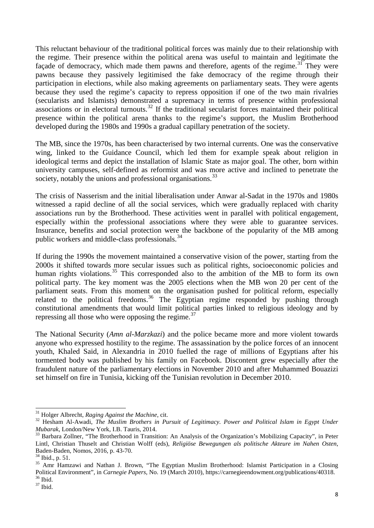This reluctant behaviour of the traditional political forces was mainly due to their relationship with the regime. Their presence within the political arena was useful to maintain and legitimate the façade of democracy, which made them pawns and therefore, agents of the regime.<sup>[31](#page-6-8)</sup> They were pawns because they passively legitimised the fake democracy of the regime through their participation in elections, while also making agreements on parliamentary seats. They were agents because they used the regime's capacity to repress opposition if one of the two main rivalries (secularists and Islamists) demonstrated a supremacy in terms of presence within professional associations or in electoral turnouts.<sup>[32](#page-7-0)</sup> If the traditional secularist forces maintained their political presence within the political arena thanks to the regime's support, the Muslim Brotherhood developed during the 1980s and 1990s a gradual capillary penetration of the society.

The MB, since the 1970s, has been characterised by two internal currents. One was the conservative wing, linked to the Guidance Council, which led them for example speak about religion in ideological terms and depict the installation of Islamic State as major goal. The other, born within university campuses, self-defined as reformist and was more active and inclined to penetrate the society, notably the unions and professional organisations.<sup>[33](#page-7-1)</sup>

The crisis of Nasserism and the initial liberalisation under Anwar al-Sadat in the 1970s and 1980s witnessed a rapid decline of all the social services, which were gradually replaced with charity associations run by the Brotherhood. These activities went in parallel with political engagement, especially within the professional associations where they were able to guarantee services. Insurance, benefits and social protection were the backbone of the popularity of the MB among public workers and middle-class professionals.<sup>[34](#page-7-2)</sup>

If during the 1990s the movement maintained a conservative vision of the power, starting from the 2000s it shifted towards more secular issues such as political rights, socioeconomic policies and human rights violations.<sup>[35](#page-7-3)</sup> This corresponded also to the ambition of the MB to form its own political party. The key moment was the 2005 elections when the MB won 20 per cent of the parliament seats. From this moment on the organisation pushed for political reform, especially related to the political freedoms.<sup>[36](#page-7-4)</sup> The Egyptian regime responded by pushing through constitutional amendments that would limit political parties linked to religious ideology and by repressing all those who were opposing the regime. $37$ 

The National Security (*Amn al-Marzkazi*) and the police became more and more violent towards anyone who expressed hostility to the regime. The assassination by the police forces of an innocent youth, Khaled Said, in Alexandria in 2010 fuelled the rage of millions of Egyptians after his tormented body was published by his family on Facebook. Discontent grew especially after the fraudulent nature of the parliamentary elections in November 2010 and after Muhammed Bouazizi set himself on fire in Tunisia, kicking off the Tunisian revolution in December 2010.

<sup>&</sup>lt;sup>31</sup> Holger Albrecht, Raging Against the Machine, cit.

<span id="page-7-0"></span><sup>&</sup>lt;sup>32</sup> Hesham Al-Awadi, *The Muslim Brothers in Pursuit of Legitimacy. Power and Political Islam in Egypt Under Mubarak*, London/New York, I.B. Tauris, 2014.<br><sup>33</sup> Barbara Zollner, "The Brotherhood in Transition: An Analysis of the Organization's Mobilizing Capacity", in Peter

<span id="page-7-6"></span><span id="page-7-1"></span>Lintl, Christian Thuselt and Christian Wolff (eds), *Religiöse Bewegungen als politische Akteure im Nahen Osten*, Baden-Baden, Nomos, 2016, p. 43-70.<br><sup>34</sup> Ibid., p. 51.<br><sup>35</sup> Amr Hamzawi and Nathan J. Brown, "The Egyptian Muslim Brotherhood: Islamist Participation in a Closing

<span id="page-7-3"></span><span id="page-7-2"></span>Political Environment", in *Carnegie Papers*, No. 19 (March 2010), https://carnegieendowment.org/publications/40318.<br><sup>36</sup> Ibid. <sup>37</sup> Ibid.

<span id="page-7-5"></span><span id="page-7-4"></span>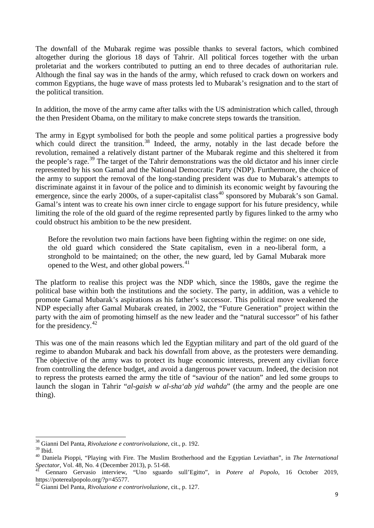The downfall of the Mubarak regime was possible thanks to several factors, which combined altogether during the glorious 18 days of Tahrir. All political forces together with the urban proletariat and the workers contributed to putting an end to three decades of authoritarian rule. Although the final say was in the hands of the army, which refused to crack down on workers and common Egyptians, the huge wave of mass protests led to Mubarak's resignation and to the start of the political transition.

In addition, the move of the army came after talks with the US administration which called, through the then President Obama, on the military to make concrete steps towards the transition.

The army in Egypt symbolised for both the people and some political parties a progressive body which could direct the transition.<sup>[38](#page-7-6)</sup> Indeed, the army, notably in the last decade before the revolution, remained a relatively distant partner of the Mubarak regime and this sheltered it from the people's rage.<sup>[39](#page-8-0)</sup> The target of the Tahrir demonstrations was the old dictator and his inner circle represented by his son Gamal and the National Democratic Party (NDP). Furthermore, the choice of the army to support the removal of the long-standing president was due to Mubarak's attempts to discriminate against it in favour of the police and to diminish its economic weight by favouring the emergence, since the early 2000s, of a super-capitalist class<sup>[40](#page-8-1)</sup> sponsored by Mubarak's son Gamal. Gamal's intent was to create his own inner circle to engage support for his future presidency, while limiting the role of the old guard of the regime represented partly by figures linked to the army who could obstruct his ambition to be the new president.

Before the revolution two main factions have been fighting within the regime: on one side, the old guard which considered the State capitalism, even in a neo-liberal form, a stronghold to be maintained; on the other, the new guard, led by Gamal Mubarak more opened to the West, and other global powers.<sup>[41](#page-8-2)</sup>

The platform to realise this project was the NDP which, since the 1980s, gave the regime the political base within both the institutions and the society. The party, in addition, was a vehicle to promote Gamal Mubarak's aspirations as his father's successor. This political move weakened the NDP especially after Gamal Mubarak created, in 2002, the "Future Generation" project within the party with the aim of promoting himself as the new leader and the "natural successor" of his father for the presidency.  $42$ 

This was one of the main reasons which led the Egyptian military and part of the old guard of the regime to abandon Mubarak and back his downfall from above, as the protesters were demanding. The objective of the army was to protect its huge economic interests, prevent any civilian force from controlling the defence budget, and avoid a dangerous power vacuum. Indeed, the decision not to repress the protests earned the army the title of "saviour of the nation" and led some groups to launch the slogan in Tahrir "*al-gaish w al-sha'ab yid wahda*" (the army and the people are one thing).

<span id="page-8-4"></span><sup>38</sup> Gianni Del Panta, *Rivoluzione e controrivoluzione*, cit., p. 192.

<span id="page-8-1"></span><span id="page-8-0"></span><sup>39</sup> Ibid. 40 Daniela Pioppi, "Playing with Fire. The Muslim Brotherhood and the Egyptian Leviathan", in *The International Spectator*, Vol. 48, No. 4 (December 2013), p. 51-68. <sup>41</sup> Gennaro Gervasio interview, "Uno sguardo sull'Egitto", in *Potere al Popolo*, 16 October 2019,

<span id="page-8-2"></span>https://poterealpopolo.org/?p=45577. <sup>42</sup> Gianni Del Panta, *Rivoluzione e controrivoluzione*, cit., p. 127.

<span id="page-8-3"></span>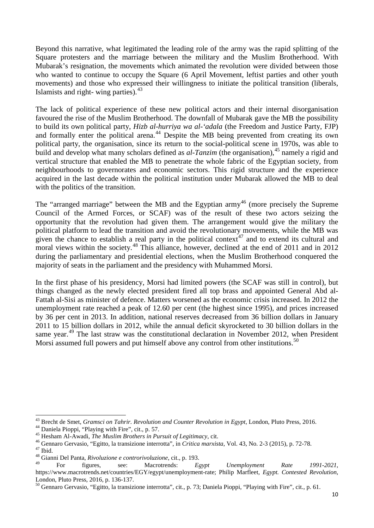Beyond this narrative, what legitimated the leading role of the army was the rapid splitting of the Square protesters and the marriage between the military and the Muslim Brotherhood. With Mubarak's resignation, the movements which animated the revolution were divided between those who wanted to continue to occupy the Square (6 April Movement, leftist parties and other youth movements) and those who expressed their willingness to initiate the political transition (liberals, Islamists and right- wing parties). $43$ 

The lack of political experience of these new political actors and their internal disorganisation favoured the rise of the Muslim Brotherhood. The downfall of Mubarak gave the MB the possibility to build its own political party, *Hizb al-hurriya wa al-'adala* (the Freedom and Justice Party, FJP) and formally enter the political arena.<sup>[44](#page-9-0)</sup> Despite the MB being prevented from creating its own political party, the organisation, since its return to the social-political scene in 1970s, was able to build and develop what many scholars defined as *al-Tanzim* (the organisation),<sup>[45](#page-9-1)</sup> namely a rigid and vertical structure that enabled the MB to penetrate the whole fabric of the Egyptian society, from neighbourhoods to governorates and economic sectors. This rigid structure and the experience acquired in the last decade within the political institution under Mubarak allowed the MB to deal with the politics of the transition.

The "arranged marriage" between the MB and the Egyptian army<sup>[46](#page-9-2)</sup> (more precisely the Supreme Council of the Armed Forces, or SCAF) was of the result of these two actors seizing the opportunity that the revolution had given them. The arrangement would give the military the political platform to lead the transition and avoid the revolutionary movements, while the MB was given the chance to establish a real party in the political context $t^{47}$  $t^{47}$  $t^{47}$  and to extend its cultural and moral views within the society.<sup>[48](#page-9-4)</sup> This alliance, however, declined at the end of 2011 and in 2012 during the parliamentary and presidential elections, when the Muslim Brotherhood conquered the majority of seats in the parliament and the presidency with Muhammed Morsi.

In the first phase of his presidency, Morsi had limited powers (the SCAF was still in control), but things changed as the newly elected president fired all top brass and appointed General Abd al-Fattah al-Sisi as minister of defence. Matters worsened as the economic crisis increased. In 2012 the unemployment rate reached a peak of 12.60 per cent (the highest since 1995), and prices increased by 36 per cent in 2013. In addition, national reserves decreased from 36 billion dollars in January 2011 to 15 billion dollars in 2012, while the annual deficit skyrocketed to 30 billion dollars in the same year.<sup>[49](#page-9-5)</sup> The last straw was the constitutional declaration in November 2012, when President Morsi assumed full powers and put himself above any control from other institutions.<sup>[50](#page-9-6)</sup>

**.** 

<span id="page-9-0"></span><sup>&</sup>lt;sup>43</sup> Brecht de Smet, *Gramsci on Tahrir. Revolution and Counter Revolution in Egypt*, London, Pluto Press, 2016.<br><sup>44</sup> Daniela Pioppi, "Playing with Fire", cit., p. 57.<br><sup>45</sup> Hesham Al-Awadi, *The Muslim Brothers in Pursuit* 

<span id="page-9-1"></span>

<span id="page-9-2"></span>

<span id="page-9-3"></span>

<span id="page-9-7"></span><span id="page-9-5"></span><span id="page-9-4"></span><sup>49</sup> For figures, see: Macrotrends: *Egypt Unemployment Rate 1991-2021*, https://www.macrotrends.net/countries/EGY/egypt/unemployment-rate; Philip Marfleet, *Egypt. Contested Revolution*, London, Pluto Press, 2016, p. 136-137.<br><sup>50</sup> Gennaro Gervasio, "Egitto, la transizione interrotta", cit., p. 73; Daniela Pioppi, "Playing with Fire", cit., p. 61.

<span id="page-9-6"></span>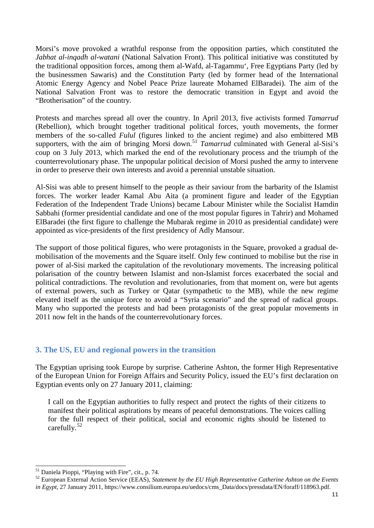Morsi's move provoked a wrathful response from the opposition parties, which constituted the *Jabhat al-inqadh al-watani* (National Salvation Front). This political initiative was constituted by the traditional opposition forces, among them al-Wafd, al-Tagammu', Free Egyptians Party (led by the businessmen Sawaris) and the Constitution Party (led by former head of the International Atomic Energy Agency and Nobel Peace Prize laureate Mohamed ElBaradei). The aim of the National Salvation Front was to restore the democratic transition in Egypt and avoid the "Brotherisation" of the country.

Protests and marches spread all over the country. In April 2013, five activists formed *Tamarrud* (Rebellion), which brought together traditional political forces, youth movements, the former members of the so-called *Fulul* (figures linked to the ancient regime) and also embittered MB supporters, with the aim of bringing Morsi down.<sup>[51](#page-9-7)</sup> *Tamarrud* culminated with General al-Sisi's coup on 3 July 2013, which marked the end of the revolutionary process and the triumph of the counterrevolutionary phase. The unpopular political decision of Morsi pushed the army to intervene in order to preserve their own interests and avoid a perennial unstable situation.

Al-Sisi was able to present himself to the people as their saviour from the barbarity of the Islamist forces. The worker leader Kamal Abu Aita (a prominent figure and leader of the Egyptian Federation of the Independent Trade Unions) became Labour Minister while the Socialist Hamdin Sabbahi (former presidential candidate and one of the most popular figures in Tahrir) and Mohamed ElBaradei (the first figure to challenge the Mubarak regime in 2010 as presidential candidate) were appointed as vice-presidents of the first presidency of Adly Mansour.

The support of those political figures, who were protagonists in the Square, provoked a gradual demobilisation of the movements and the Square itself. Only few continued to mobilise but the rise in power of al-Sisi marked the capitulation of the revolutionary movements. The increasing political polarisation of the country between Islamist and non-Islamist forces exacerbated the social and political contradictions. The revolution and revolutionaries, from that moment on, were but agents of external powers, such as Turkey or Qatar (sympathetic to the MB), while the new regime elevated itself as the unique force to avoid a "Syria scenario" and the spread of radical groups. Many who supported the protests and had been protagonists of the great popular movements in 2011 now felt in the hands of the counterrevolutionary forces.

### <span id="page-10-0"></span>**3. The US, EU and regional powers in the transition**

The Egyptian uprising took Europe by surprise. Catherine Ashton, the former High Representative of the European Union for Foreign Affairs and Security Policy, issued the EU's first declaration on Egyptian events only on 27 January 2011, claiming:

<span id="page-10-2"></span>I call on the Egyptian authorities to fully respect and protect the rights of their citizens to manifest their political aspirations by means of peaceful demonstrations. The voices calling for the full respect of their political, social and economic rights should be listened to carefully.<sup>[52](#page-10-1)</sup>

<sup>&</sup>lt;sup>51</sup> Daniela Pioppi, "Playing with Fire", cit., p. 74.

<span id="page-10-1"></span><sup>&</sup>lt;sup>52</sup> European External Action Service (EEAS), *Statement by the EU High Representative Catherine Ashton on the Events in Egypt*, 27 January 2011, https://www.consilium.europa.eu/uedocs/cms\_Data/docs/pressdata/EN/foraff/118963.pdf.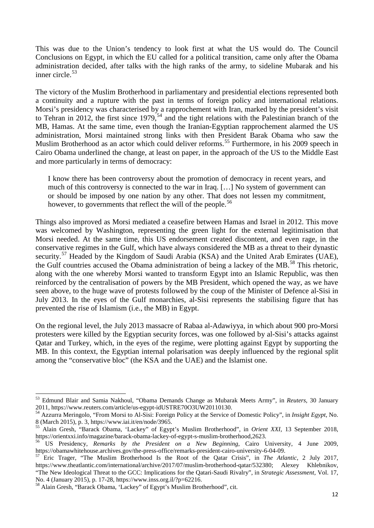This was due to the Union's tendency to look first at what the US would do. The Council Conclusions on Egypt, in which the EU called for a political transition, came only after the Obama administration decided, after talks with the high ranks of the army, to sideline Mubarak and his inner circle. $53$ 

The victory of the Muslim Brotherhood in parliamentary and presidential elections represented both a continuity and a rupture with the past in terms of foreign policy and international relations. Morsi's presidency was characterised by a rapprochement with Iran, marked by the president's visit to Tehran in 2012, the first since  $1979, ^{54}$  $1979, ^{54}$  $1979, ^{54}$  and the tight relations with the Palestinian branch of the MB, Hamas. At the same time, even though the Iranian-Egyptian rapprochement alarmed the US administration, Morsi maintained strong links with then President Barak Obama who saw the Muslim Brotherhood as an actor which could deliver reforms.<sup>[55](#page-11-1)</sup> Furthermore, in his 2009 speech in Cairo Obama underlined the change, at least on paper, in the approach of the US to the Middle East and more particularly in terms of democracy:

I know there has been controversy about the promotion of democracy in recent years, and much of this controversy is connected to the war in Iraq. […] No system of government can or should be imposed by one nation by any other. That does not lessen my commitment, however, to governments that reflect the will of the people.<sup>[56](#page-11-2)</sup>

Things also improved as Morsi mediated a ceasefire between Hamas and Israel in 2012. This move was welcomed by Washington, representing the green light for the external legitimisation that Morsi needed. At the same time, this US endorsement created discontent, and even rage, in the conservative regimes in the Gulf, which have always considered the MB as a threat to their dynastic security.<sup>[57](#page-11-3)</sup> Headed by the Kingdom of Saudi Arabia (KSA) and the United Arab Emirates (UAE), the Gulf countries accused the Obama administration of being a lackey of the MB.<sup>[58](#page-11-4)</sup> This rhetoric, along with the one whereby Morsi wanted to transform Egypt into an Islamic Republic, was then reinforced by the centralisation of powers by the MB President, which opened the way, as we have seen above, to the huge wave of protests followed by the coup of the Minister of Defence al-Sisi in July 2013. In the eyes of the Gulf monarchies, al-Sisi represents the stabilising figure that has prevented the rise of Islamism (i.e., the MB) in Egypt.

On the regional level, the July 2013 massacre of Rabaa al-Adawiyya, in which about 900 pro-Morsi protesters were killed by the Egyptian security forces, was one followed by al-Sisi's attacks against Qatar and Turkey, which, in the eyes of the regime, were plotting against Egypt by supporting the MB. In this context, the Egyptian internal polarisation was deeply influenced by the regional split among the "conservative bloc" (the KSA and the UAE) and the Islamist one.

<sup>53</sup> Edmund Blair and Samia Nakhoul, "Obama Demands Change as Mubarak Meets Army", in *Reuters*, 30 January 2011, https://www.reuters.com/article/us-egypt-idUSTRE70O3UW20110130. <sup>54</sup> Azzurra Meringolo, "From Morsi to Al-Sisi: Foreign Policy at the Service of Domestic Policy", in *Insight Egypt*, No.

<span id="page-11-5"></span><span id="page-11-0"></span><sup>8 (</sup>March 2015), p. 3, https://www.iai.it/en/node/3965.

<span id="page-11-1"></span><sup>55</sup> Alain Gresh, "Barack Obama, 'Lackey" of Egypt's Muslim Brotherhood", in *Orient XXI*, 13 September 2018, https://orientxxi.info/magazine/barack-obama-lackey-of-egypt-s-muslim-brotherhood,2623. <sup>56</sup> US Presidency, *Remarks by the President on a New Beginning*, Cairo University, 4 June 2009,

<span id="page-11-3"></span><span id="page-11-2"></span>https://obamawhitehouse.archives.gov/the-press-office/remarks-president-cairo-university-6-04-09. <sup>57</sup> Eric Trager, "The Muslim Brotherhood Is the Root of the Qatar Crisis", in *The Atlantic*, 2 July 2017, https://www.theatlantic.com/international/archive/2017/07/muslim-brotherhood-qatar/532380; Alexey Khlebnikov, "The New Ideological Threat to the GCC: Implications for the Qatari-Saudi Rivalry", in *Strategic Assessment*, Vol. 17,

<span id="page-11-4"></span>No. 4 (January 2015), p. 17-28, https://www.inss.org.il/?p=62216. <sup>58</sup> Alain Gresh, "Barack Obama, 'Lackey" of Egypt's Muslim Brotherhood", cit.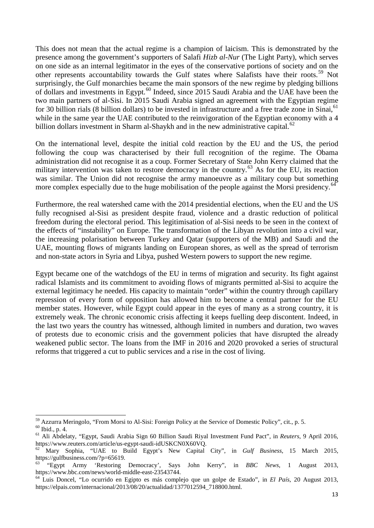This does not mean that the actual regime is a champion of laicism. This is demonstrated by the presence among the government's supporters of Salafi *Hizb al-Nur* (The Light Party), which serves on one side as an internal legitimator in the eyes of the conservative portions of society and on the other represents accountability towards the Gulf states where Salafists have their roots.<sup>[59](#page-11-5)</sup> Not surprisingly, the Gulf monarchies became the main sponsors of the new regime by pledging billions of dollars and investments in Egypt.<sup>[60](#page-12-0)</sup> Indeed, since 2015 Saudi Arabia and the UAE have been the two main partners of al-Sisi. In 2015 Saudi Arabia signed an agreement with the Egyptian regime for 30 billion rials (8 billion dollars) to be invested in infrastructure and a free trade zone in Sinai.<sup>[61](#page-12-1)</sup> while in the same year the UAE contributed to the reinvigoration of the Egyptian economy with a 4 billion dollars investment in Sharm al-Shaykh and in the new administrative capital. $62$ 

On the international level, despite the initial cold reaction by the EU and the US, the period following the coup was characterised by their full recognition of the regime. The Obama administration did not recognise it as a coup. Former Secretary of State John Kerry claimed that the military intervention was taken to restore democracy in the country.<sup>[63](#page-12-3)</sup> As for the EU, its reaction was similar. The Union did not recognise the army manoeuvre as a military coup but something more complex especially due to the huge mobilisation of the people against the Morsi presidency.<sup>[64](#page-12-4)</sup>

Furthermore, the real watershed came with the 2014 presidential elections, when the EU and the US fully recognised al-Sisi as president despite fraud, violence and a drastic reduction of political freedom during the electoral period. This legitimisation of al-Sisi needs to be seen in the context of the effects of "instability" on Europe. The transformation of the Libyan revolution into a civil war, the increasing polarisation between Turkey and Qatar (supporters of the MB) and Saudi and the UAE, mounting flows of migrants landing on European shores, as well as the spread of terrorism and non-state actors in Syria and Libya, pushed Western powers to support the new regime.

Egypt became one of the watchdogs of the EU in terms of migration and security. Its fight against radical Islamists and its commitment to avoiding flows of migrants permitted al-Sisi to acquire the external legitimacy he needed. His capacity to maintain "order" within the country through capillary repression of every form of opposition has allowed him to become a central partner for the EU member states. However, while Egypt could appear in the eyes of many as a strong country, it is extremely weak. The chronic economic crisis affecting it keeps fuelling deep discontent. Indeed, in the last two years the country has witnessed, although limited in numbers and duration, two waves of protests due to economic crisis and the government policies that have disrupted the already weakened public sector. The loans from the IMF in 2016 and 2020 provoked a series of structural reforms that triggered a cut to public services and a rise in the cost of living.

<sup>&</sup>lt;sup>59</sup> Azzurra Meringolo, "From Morsi to Al-Sisi: Foreign Policy at the Service of Domestic Policy", cit., p. 5.

<span id="page-12-1"></span><span id="page-12-0"></span><sup>60</sup> Ibid., p. 4.<br><sup>61</sup> Ali Abdelaty, "Egypt, Saudi Arabia Sign 60 Billion Saudi Riyal Investment Fund Pact", in *Reuters*, 9 April 2016, https://www.reuters.com/article/us-egypt-saudi-idUSKCN0X60VQ. <sup>62</sup> Mary Sophia, "UAE to Build Egypt's New Capital City", in *Gulf Business*, 15 March 2015,

<span id="page-12-2"></span>https://gulfbusiness.com/?p=65619.

<span id="page-12-3"></span><sup>63</sup> "Egypt Army 'Restoring Democracy', Says John Kerry", in *BBC News*, 1 August 2013, https://www.bbc.com/news/world-middle-east-23543744. <sup>64</sup> Luis Doncel, "Lo ocurrido en Egipto es más complejo que un golpe de Estado", in *El País*, 20 August 2013,

<span id="page-12-4"></span>https://elpais.com/internacional/2013/08/20/actualidad/1377012594\_718800.html.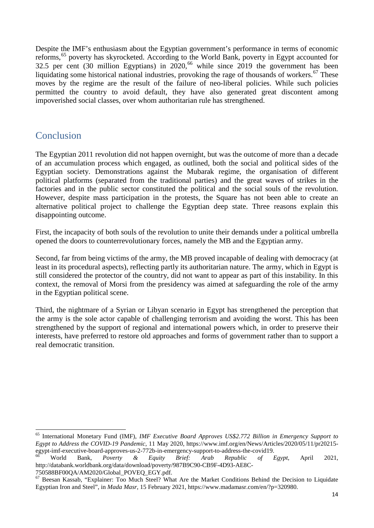Despite the IMF's enthusiasm about the Egyptian government's performance in terms of economic reforms,<sup>[65](#page-12-1)</sup> poverty has skyrocketed. According to the World Bank, poverty in Egypt accounted for 32.5 per cent (30 million Egyptians) in  $2020$ ,<sup>[66](#page-13-1)</sup> while since 2019 the government has been liquidating some historical national industries, provoking the rage of thousands of workers.<sup>[67](#page-13-2)</sup> These moves by the regime are the result of the failure of neo-liberal policies. While such policies permitted the country to avoid default, they have also generated great discontent among impoverished social classes, over whom authoritarian rule has strengthened.

## <span id="page-13-0"></span>Conclusion

The Egyptian 2011 revolution did not happen overnight, but was the outcome of more than a decade of an accumulation process which engaged, as outlined, both the social and political sides of the Egyptian society. Demonstrations against the Mubarak regime, the organisation of different political platforms (separated from the traditional parties) and the great waves of strikes in the factories and in the public sector constituted the political and the social souls of the revolution. However, despite mass participation in the protests, the Square has not been able to create an alternative political project to challenge the Egyptian deep state. Three reasons explain this disappointing outcome.

First, the incapacity of both souls of the revolution to unite their demands under a political umbrella opened the doors to counterrevolutionary forces, namely the MB and the Egyptian army.

Second, far from being victims of the army, the MB proved incapable of dealing with democracy (at least in its procedural aspects), reflecting partly its authoritarian nature. The army, which in Egypt is still considered the protector of the country, did not want to appear as part of this instability. In this context, the removal of Morsi from the presidency was aimed at safeguarding the role of the army in the Egyptian political scene.

Third, the nightmare of a Syrian or Libyan scenario in Egypt has strengthened the perception that the army is the sole actor capable of challenging terrorism and avoiding the worst. This has been strengthened by the support of regional and international powers which, in order to preserve their interests, have preferred to restore old approaches and forms of government rather than to support a real democratic transition.

<sup>65</sup> International Monetary Fund (IMF), *IMF Executive Board Approves US\$2.772 Billion in Emergency Support to Egypt to Address the COVID-19 Pandemic*, 11 May 2020, https://www.imf.org/en/News/Articles/2020/05/11/pr20215 egypt-imf-executive-board-approves-us-2-772b-in-emergency-support-to-address-the-covid19.<br>
<sup>66</sup> World Bank, *Poverty & Equity Brief: Arab Republic of Egypt*, April 2021,

<span id="page-13-1"></span>http://databank.worldbank.org/data/download/poverty/987B9C90-CB9F-4D93-AE8C-

<sup>750588</sup>BF00QA/AM2020/Global\_POVEQ\_EGY.pdf.

<span id="page-13-2"></span><sup>&</sup>lt;sup>67</sup> Beesan Kassab, "Explainer: Too Much Steel? What Are the Market Conditions Behind the Decision to Liquidate Egyptian Iron and Steel", in *Mada Masr*, 15 February 2021, https://www.madamasr.com/en/?p=320980.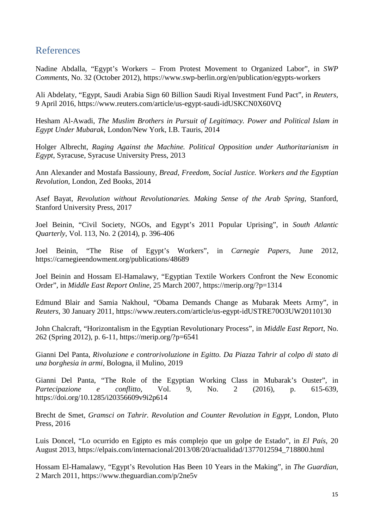## <span id="page-14-0"></span>References

Nadine Abdalla, "Egypt's Workers – From Protest Movement to Organized Labor", in *SWP Comments*, No. 32 (October 2012), https://www.swp-berlin.org/en/publication/egypts-workers

Ali Abdelaty, "Egypt, Saudi Arabia Sign 60 Billion Saudi Riyal Investment Fund Pact", in *Reuters*, 9 April 2016, https://www.reuters.com/article/us-egypt-saudi-idUSKCN0X60VQ

Hesham Al-Awadi, *The Muslim Brothers in Pursuit of Legitimacy. Power and Political Islam in Egypt Under Mubarak*, London/New York, I.B. Tauris, 2014

Holger Albrecht, *Raging Against the Machine. Political Opposition under Authoritarianism in Egypt*, Syracuse, Syracuse University Press, 2013

Ann Alexander and Mostafa Bassiouny, *Bread, Freedom, Social Justice. Workers and the Egyptian Revolution*, London, Zed Books, 2014

Asef Bayat, *Revolution without Revolutionaries. Making Sense of the Arab Spring*, Stanford, Stanford University Press*,* 2017

Joel Beinin, "Civil Society, NGOs, and Egypt's 2011 Popular Uprising", in *South Atlantic Quarterly*, Vol. 113, No. 2 (2014), p. 396-406

Joel Beinin, "The Rise of Egypt's Workers", in *Carnegie Papers*, June 2012, https://carnegieendowment.org/publications/48689

Joel Beinin and Hossam El-Hamalawy, "Egyptian Textile Workers Confront the New Economic Order", in *Middle East Report Online*, 25 March 2007, https://merip.org/?p=1314

Edmund Blair and Samia Nakhoul, "Obama Demands Change as Mubarak Meets Army", in *Reuters*, 30 January 2011, https://www.reuters.com/article/us-egypt-idUSTRE70O3UW20110130

John Chalcraft, "Horizontalism in the Egyptian Revolutionary Process", in *Middle East Report*, No. 262 (Spring 2012), p. 6-11, https://merip.org/?p=6541

Gianni Del Panta, *Rivoluzione e controrivoluzione in Egitto. Da Piazza Tahrir al colpo di stato di una borghesia in armi*, Bologna, il Mulino, 2019

Gianni Del Panta, "The Role of the Egyptian Working Class in Mubarak's Ouster", in *Partecipazione e conflitto*, Vol. 9, No. 2 (2016), p. 615-639, https://doi.org/10.1285/i20356609v9i2p614

Brecht de Smet, *Gramsci on Tahrir. Revolution and Counter Revolution in Egypt*, London, Pluto Press, 2016

Luis Doncel, "Lo ocurrido en Egipto es más complejo que un golpe de Estado", in *El País*, 20 August 2013, https://elpais.com/internacional/2013/08/20/actualidad/1377012594\_718800.html

Hossam El-Hamalawy, "Egypt's Revolution Has Been 10 Years in the Making", in *The Guardian*, 2 March 2011, https://www.theguardian.com/p/2ne5v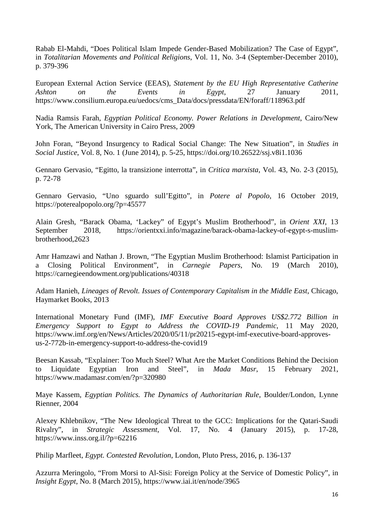Rabab El-Mahdi, "Does Political Islam Impede Gender-Based Mobilization? The Case of Egypt", in *Totalitarian Movements and Political Religions*, Vol. 11, No. 3-4 (September-December 2010), p. 379-396

European External Action Service (EEAS), *Statement by the EU High Representative Catherine Ashton on the Events in Egypt*, 27 January 2011, https://www.consilium.europa.eu/uedocs/cms\_Data/docs/pressdata/EN/foraff/118963.pdf

Nadia Ramsis Farah, *Egyptian Political Economy. Power Relations in Development*, Cairo/New York, The American University in Cairo Press, 2009

John Foran, "Beyond Insurgency to Radical Social Change: The New Situation", in *Studies in Social Justice*, Vol. 8, No. 1 (June 2014), p. 5-25, https://doi.org/10.26522/ssj.v8i1.1036

Gennaro Gervasio, "Egitto, la transizione interrotta", in *Critica marxista*, Vol. 43, No. 2-3 (2015), p. 72-78

Gennaro Gervasio, "Uno sguardo sull'Egitto", in *Potere al Popolo*, 16 October 2019, https://poterealpopolo.org/?p=45577

Alain Gresh, "Barack Obama, 'Lackey" of Egypt's Muslim Brotherhood", in *Orient XXI*, 13 September 2018, https://orientxxi.info/magazine/barack-obama-lackey-of-egypt-s-muslimbrotherhood,2623

Amr Hamzawi and Nathan J. Brown, "The Egyptian Muslim Brotherhood: Islamist Participation in a Closing Political Environment", in *Carnegie Papers*, No. 19 (March 2010), https://carnegieendowment.org/publications/40318

Adam Hanieh, *Lineages of Revolt. Issues of Contemporary Capitalism in the Middle East*, Chicago, Haymarket Books, 2013

International Monetary Fund (IMF), *IMF Executive Board Approves US\$2.772 Billion in Emergency Support to Egypt to Address the COVID-19 Pandemic*, 11 May 2020, https://www.imf.org/en/News/Articles/2020/05/11/pr20215-egypt-imf-executive-board-approvesus-2-772b-in-emergency-support-to-address-the-covid19

Beesan Kassab, "Explainer: Too Much Steel? What Are the Market Conditions Behind the Decision to Liquidate Egyptian Iron and Steel", in *Mada Masr*, 15 February 2021, https://www.madamasr.com/en/?p=320980

Maye Kassem, *Egyptian Politics. The Dynamics of Authoritarian Rule*, Boulder/London, Lynne Rienner, 2004

Alexey Khlebnikov, "The New Ideological Threat to the GCC: Implications for the Qatari-Saudi Rivalry", in *Strategic Assessment*, Vol. 17, No. 4 (January 2015), p. 17-28, https://www.inss.org.il/?p=62216

Philip Marfleet, *Egypt. Contested Revolution*, London, Pluto Press, 2016, p. 136-137

Azzurra Meringolo, "From Morsi to Al-Sisi: Foreign Policy at the Service of Domestic Policy", in *Insight Egypt*, No. 8 (March 2015), https://www.iai.it/en/node/3965